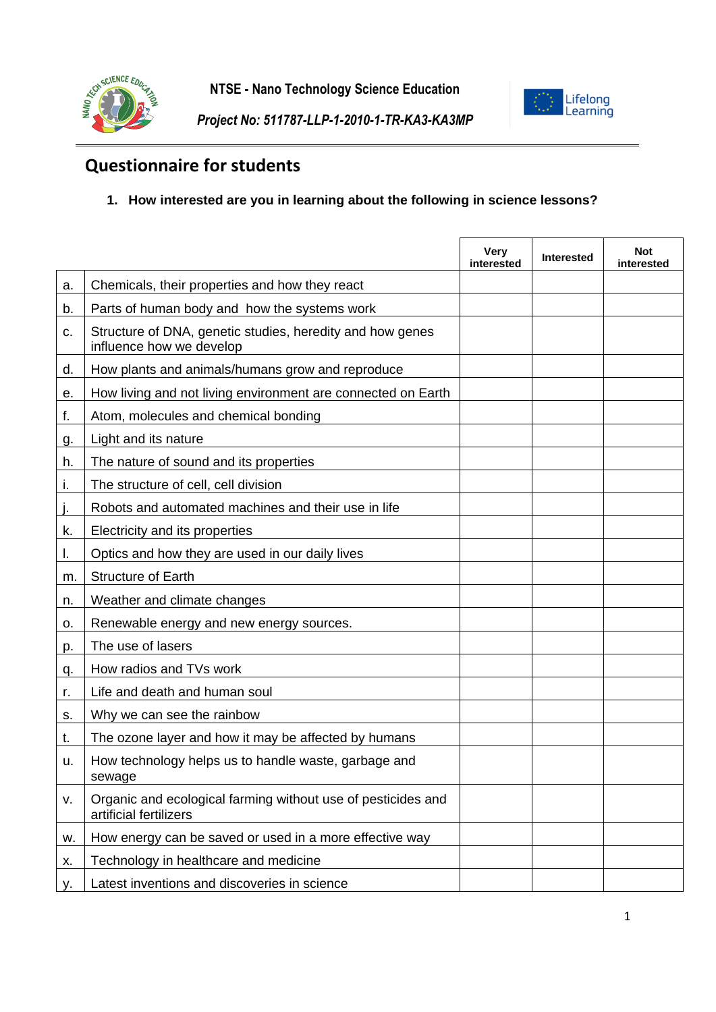



*Project No: 511787-LLP-1-2010-1-TR-KA3-KA3MP*

## **Questionnaire for students**

## **1. How interested are you in learning about the following in science lessons?**

|    |                                                                                        | <b>Very</b><br>interested | <b>Interested</b> | <b>Not</b><br>interested |
|----|----------------------------------------------------------------------------------------|---------------------------|-------------------|--------------------------|
| a. | Chemicals, their properties and how they react                                         |                           |                   |                          |
| b. | Parts of human body and how the systems work                                           |                           |                   |                          |
| c. | Structure of DNA, genetic studies, heredity and how genes<br>influence how we develop  |                           |                   |                          |
| d. | How plants and animals/humans grow and reproduce                                       |                           |                   |                          |
| е. | How living and not living environment are connected on Earth                           |                           |                   |                          |
| f. | Atom, molecules and chemical bonding                                                   |                           |                   |                          |
| g. | Light and its nature                                                                   |                           |                   |                          |
| h. | The nature of sound and its properties                                                 |                           |                   |                          |
| j, | The structure of cell, cell division                                                   |                           |                   |                          |
|    | Robots and automated machines and their use in life                                    |                           |                   |                          |
| k. | Electricity and its properties                                                         |                           |                   |                          |
| Ι. | Optics and how they are used in our daily lives                                        |                           |                   |                          |
| m. | <b>Structure of Earth</b>                                                              |                           |                   |                          |
| n. | Weather and climate changes                                                            |                           |                   |                          |
| о. | Renewable energy and new energy sources.                                               |                           |                   |                          |
| p. | The use of lasers                                                                      |                           |                   |                          |
| q. | How radios and TVs work                                                                |                           |                   |                          |
| r. | Life and death and human soul                                                          |                           |                   |                          |
| s. | Why we can see the rainbow                                                             |                           |                   |                          |
| t. | The ozone layer and how it may be affected by humans                                   |                           |                   |                          |
| u. | How technology helps us to handle waste, garbage and<br>sewage                         |                           |                   |                          |
| ν. | Organic and ecological farming without use of pesticides and<br>artificial fertilizers |                           |                   |                          |
| w. | How energy can be saved or used in a more effective way                                |                           |                   |                          |
| х. | Technology in healthcare and medicine                                                  |                           |                   |                          |
| у. | Latest inventions and discoveries in science                                           |                           |                   |                          |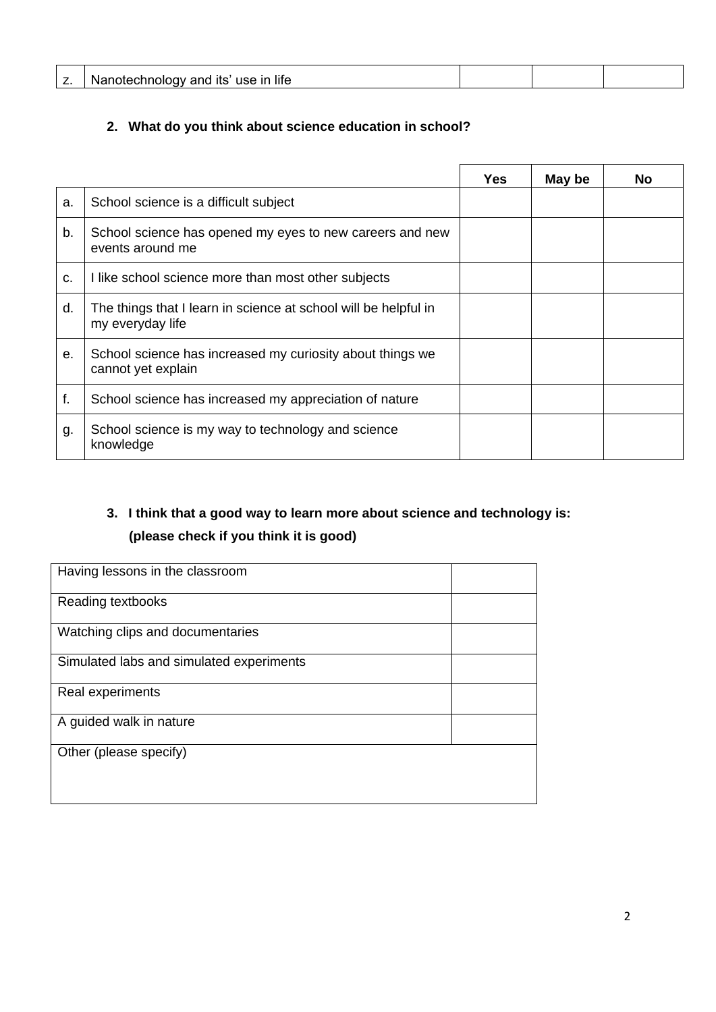| $\overline{z}$<br><u>.</u> | $\sim$<br>liti<br>n |  |  |
|----------------------------|---------------------|--|--|
|                            |                     |  |  |

## **2. What do you think about science education in school?**

|    |                                                                                     | Yes | May be | No |
|----|-------------------------------------------------------------------------------------|-----|--------|----|
| a. | School science is a difficult subject                                               |     |        |    |
| b. | School science has opened my eyes to new careers and new<br>events around me        |     |        |    |
| C. | I like school science more than most other subjects                                 |     |        |    |
| d. | The things that I learn in science at school will be helpful in<br>my everyday life |     |        |    |
| е. | School science has increased my curiosity about things we<br>cannot yet explain     |     |        |    |
| f. | School science has increased my appreciation of nature                              |     |        |    |
| g. | School science is my way to technology and science<br>knowledge                     |     |        |    |

## **3. I think that a good way to learn more about science and technology is: (please check if you think it is good)**

| Having lessons in the classroom          |  |
|------------------------------------------|--|
| Reading textbooks                        |  |
| Watching clips and documentaries         |  |
| Simulated labs and simulated experiments |  |
| Real experiments                         |  |
| A guided walk in nature                  |  |
| Other (please specify)                   |  |
|                                          |  |